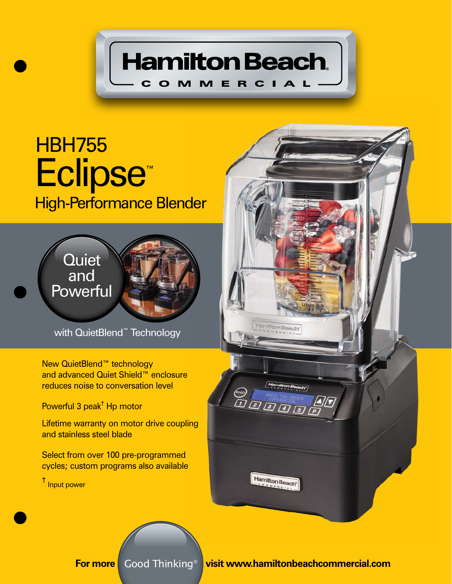

## Eclipse™ High-Performance Blender **HBH755**



with QuietBlend™ Technology

New QuietBlend™ technology and advanced Quiet Shield™ enclosure reduces noise to conversation level

Powerful 3 peak† Hp motor

Lifetime warranty on motor drive coupling and stainless steel blade

Select from over 100 pre-programmed cycles; custom programs also available

† Input power



**For more** Good Thinking<sup>®</sup> visit www.hamiltonbeachcommercial.com